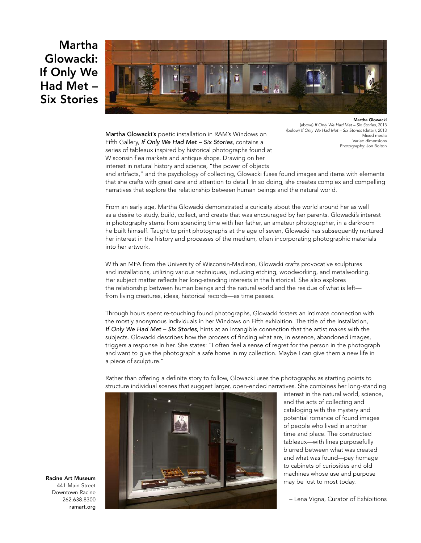## **Martha Glowacki: If Only We Had Met – Six Stories**



Martha Glowacki's poetic installation in RAM's Windows on Fifth Gallery, *If Only We Had Met – Six Stories*, contains a series of tableaux inspired by historical photographs found at Wisconsin flea markets and antique shops. Drawing on her interest in natural history and science, "the power of objects

**Martha Glowacki** (above) *If Only We Had Met – Six Stories*, 2013 (below) *If Only We Had Met – Six Stories* (detail), 2013 Mixed media Varied dimensions Photography: Jon Bolton

and artifacts," and the psychology of collecting, Glowacki fuses found images and items with elements that she crafts with great care and attention to detail. In so doing, she creates complex and compelling narratives that explore the relationship between human beings and the natural world.

From an early age, Martha Glowacki demonstrated a curiosity about the world around her as well as a desire to study, build, collect, and create that was encouraged by her parents. Glowacki's interest in photography stems from spending time with her father, an amateur photographer, in a darkroom he built himself. Taught to print photographs at the age of seven, Glowacki has subsequently nurtured her interest in the history and processes of the medium, often incorporating photographic materials into her artwork.

With an MFA from the University of Wisconsin-Madison, Glowacki crafts provocative sculptures and installations, utilizing various techniques, including etching, woodworking, and metalworking. Her subject matter reflects her long-standing interests in the historical. She also explores the relationship between human beings and the natural world and the residue of what is left from living creatures, ideas, historical records—as time passes.

Through hours spent re-touching found photographs, Glowacki fosters an intimate connection with the mostly anonymous individuals in her Windows on Fifth exhibition. The title of the installation, *If Only We Had Met – Six Stories*, hints at an intangible connection that the artist makes with the subjects. Glowacki describes how the process of finding what are, in essence, abandoned images, triggers a response in her. She states: "I often feel a sense of regret for the person in the photograph and want to give the photograph a safe home in my collection. Maybe I can give them a new life in a piece of sculpture."



Rather than offering a definite story to follow, Glowacki uses the photographs as starting points to structure individual scenes that suggest larger, open-ended narratives. She combines her long-standing

> interest in the natural world, science, and the acts of collecting and cataloging with the mystery and potential romance of found images of people who lived in another time and place. The constructed tableaux—with lines purposefully blurred between what was created and what was found—pay homage to cabinets of curiosities and old machines whose use and purpose may be lost to most today.

– Lena Vigna, Curator of Exhibitions

**Racine Art Museum** 441 Main Street Downtown Racine 262.638.8300 ramart.org